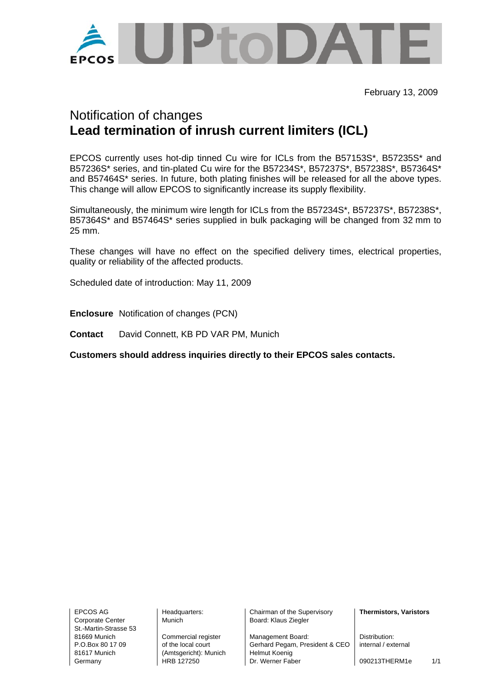

February 13, 2009

## Notification of changes **Lead termination of inrush current limiters (ICL)**

EPCOS currently uses hot-dip tinned Cu wire for ICLs from the B57153S\*, B57235S\* and B57236S\* series, and tin-plated Cu wire for the B57234S\*, B57237S\*, B57238S\*, B57364S\* and B57464S\* series. In future, both plating finishes will be released for all the above types. This change will allow EPCOS to significantly increase its supply flexibility.

Simultaneously, the minimum wire length for ICLs from the B57234S\*, B57237S\*, B57238S\*, B57364S\* and B57464S\* series supplied in bulk packaging will be changed from 32 mm to 25 mm.

These changes will have no effect on the specified delivery times, electrical properties, quality or reliability of the affected products.

Scheduled date of introduction: May 11, 2009

**Enclosure** Notification of changes (PCN)

**Contact** David Connett, KB PD VAR PM, Munich

**Customers should address inquiries directly to their EPCOS sales contacts.** 

Corporate Center Munich Nunich Board: Klaus Ziegler St.-Martin-Strasse 53

81617 Munich (Amtsgericht): Munich Helmut Koenig

EPCOS AG Headquarters: Chairman of the Supervisory **Thermistors, Varistors** 

81669 Munich Commercial register Management Board: Distribution:<br>P.O.Box 80.17.09 of the local court Gerhard Pegam. President & CFO internal / ext of the local court **CEO**  $\vert$  Gerhard Pegam, President & CEO  $\vert$  internal / external Germany **HRB 127250** Dr. Werner Faber 1090213THERM1e 1/1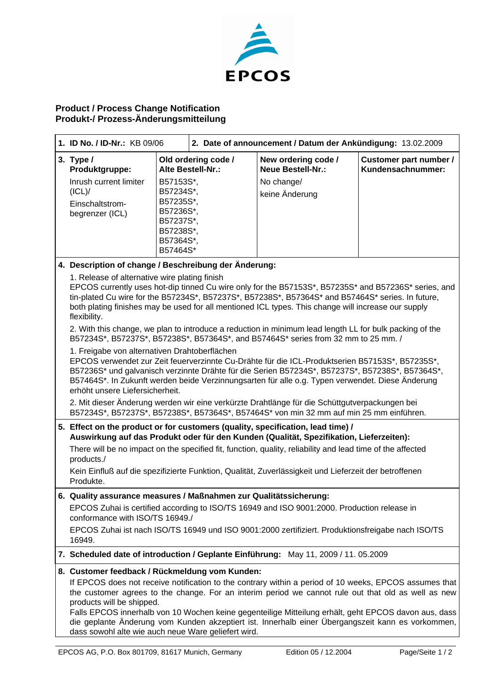

## **Product / Process Change Notification Produkt-/ Prozess-Änderungsmitteilung**

| 1. ID No. / ID-Nr.: KB 09/06                                                                                                                                                                                                                                                                                                                                                                                                                                                                                                                                                                                |                                                                                                                                                                                          | 2. Date of announcement / Datum der Ankündigung: 13.02.2009 |                                                                                 |                                             |  |
|-------------------------------------------------------------------------------------------------------------------------------------------------------------------------------------------------------------------------------------------------------------------------------------------------------------------------------------------------------------------------------------------------------------------------------------------------------------------------------------------------------------------------------------------------------------------------------------------------------------|------------------------------------------------------------------------------------------------------------------------------------------------------------------------------------------|-------------------------------------------------------------|---------------------------------------------------------------------------------|---------------------------------------------|--|
| 3. Type $/$<br>Produktgruppe:<br>Inrush current limiter<br>(ICL)<br>Einschaltstrom-<br>begrenzer (ICL)                                                                                                                                                                                                                                                                                                                                                                                                                                                                                                      | B57153S*,<br>B57234S*,<br>B57235S*,<br>B57236S*,<br>B57237S*,<br>B57238S*,<br>B57364S*,<br>B57464S*                                                                                      | Old ordering code /<br>Alte Bestell-Nr.:                    | New ordering code /<br><b>Neue Bestell-Nr.:</b><br>No change/<br>keine Änderung | Customer part number /<br>Kundensachnummer: |  |
| 4. Description of change / Beschreibung der Änderung:<br>1. Release of alternative wire plating finish<br>EPCOS currently uses hot-dip tinned Cu wire only for the B57153S*, B57235S* and B57236S* series, and<br>tin-plated Cu wire for the B57234S*, B57237S*, B57238S*, B57364S* and B57464S* series. In future,<br>both plating finishes may be used for all mentioned ICL types. This change will increase our supply                                                                                                                                                                                  |                                                                                                                                                                                          |                                                             |                                                                                 |                                             |  |
| flexibility.<br>2. With this change, we plan to introduce a reduction in minimum lead length LL for bulk packing of the<br>B57234S*, B57237S*, B57238S*, B57364S*, and B57464S* series from 32 mm to 25 mm. /<br>1. Freigabe von alternativen Drahtoberflächen<br>EPCOS verwendet zur Zeit feuerverzinnte Cu-Drähte für die ICL-Produktserien B57153S*, B57235S*,<br>B57236S* und galvanisch verzinnte Drähte für die Serien B57234S*, B57237S*, B57238S*, B57364S*,<br>B57464S*. In Zukunft werden beide Verzinnungsarten für alle o.g. Typen verwendet. Diese Änderung<br>erhöht unsere Liefersicherheit. |                                                                                                                                                                                          |                                                             |                                                                                 |                                             |  |
|                                                                                                                                                                                                                                                                                                                                                                                                                                                                                                                                                                                                             | 2. Mit dieser Änderung werden wir eine verkürzte Drahtlänge für die Schüttgutverpackungen bei<br>B57234S*, B57237S*, B57238S*, B57364S*, B57464S* von min 32 mm auf min 25 mm einführen. |                                                             |                                                                                 |                                             |  |
| 5. Effect on the product or for customers (quality, specification, lead time) /<br>Auswirkung auf das Produkt oder für den Kunden (Qualität, Spezifikation, Lieferzeiten):<br>There will be no impact on the specified fit, function, quality, reliability and lead time of the affected<br>products./<br>Kein Einfluß auf die spezifizierte Funktion, Qualität, Zuverlässigkeit und Lieferzeit der betroffenen<br>Produkte.                                                                                                                                                                                |                                                                                                                                                                                          |                                                             |                                                                                 |                                             |  |
| 6. Quality assurance measures / Maßnahmen zur Qualitätssicherung:<br>EPCOS Zuhai is certified according to ISO/TS 16949 and ISO 9001:2000. Production release in<br>conformance with ISO/TS 16949./<br>EPCOS Zuhai ist nach ISO/TS 16949 und ISO 9001:2000 zertifiziert. Produktionsfreigabe nach ISO/TS<br>16949.                                                                                                                                                                                                                                                                                          |                                                                                                                                                                                          |                                                             |                                                                                 |                                             |  |
| 7. Scheduled date of introduction / Geplante Einführung: May 11, 2009 / 11. 05.2009                                                                                                                                                                                                                                                                                                                                                                                                                                                                                                                         |                                                                                                                                                                                          |                                                             |                                                                                 |                                             |  |
| 8. Customer feedback / Rückmeldung vom Kunden:<br>If EPCOS does not receive notification to the contrary within a period of 10 weeks, EPCOS assumes that<br>the customer agrees to the change. For an interim period we cannot rule out that old as well as new<br>products will be shipped.<br>Falls EPCOS innerhalb von 10 Wochen keine gegenteilige Mitteilung erhält, geht EPCOS davon aus, dass<br>die geplante Änderung vom Kunden akzeptiert ist. Innerhalb einer Übergangszeit kann es vorkommen,<br>dass sowohl alte wie auch neue Ware geliefert wird.                                            |                                                                                                                                                                                          |                                                             |                                                                                 |                                             |  |